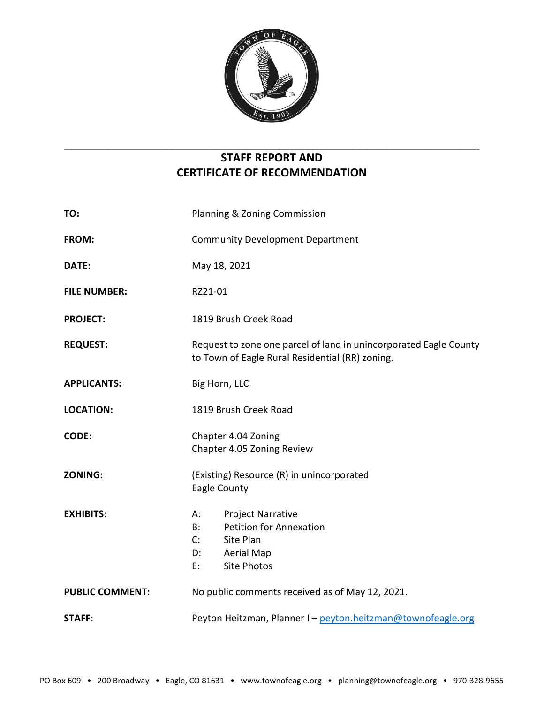

# **STAFF REPORT AND CERTIFICATE OF RECOMMENDATION**

 $\_$  , and the set of the set of the set of the set of the set of the set of the set of the set of the set of the set of the set of the set of the set of the set of the set of the set of the set of the set of the set of th

| TO:                    | Planning & Zoning Commission                                                                                                                        |
|------------------------|-----------------------------------------------------------------------------------------------------------------------------------------------------|
| FROM:                  | <b>Community Development Department</b>                                                                                                             |
| DATE:                  | May 18, 2021                                                                                                                                        |
| <b>FILE NUMBER:</b>    | RZ21-01                                                                                                                                             |
| <b>PROJECT:</b>        | 1819 Brush Creek Road                                                                                                                               |
| <b>REQUEST:</b>        | Request to zone one parcel of land in unincorporated Eagle County<br>to Town of Eagle Rural Residential (RR) zoning.                                |
| <b>APPLICANTS:</b>     | Big Horn, LLC                                                                                                                                       |
| <b>LOCATION:</b>       | 1819 Brush Creek Road                                                                                                                               |
| <b>CODE:</b>           | Chapter 4.04 Zoning<br>Chapter 4.05 Zoning Review                                                                                                   |
| <b>ZONING:</b>         | (Existing) Resource (R) in unincorporated<br>Eagle County                                                                                           |
| <b>EXHIBITS:</b>       | <b>Project Narrative</b><br>A:<br><b>Petition for Annexation</b><br>$B$ :<br>Site Plan<br>C:<br>D:<br><b>Aerial Map</b><br><b>Site Photos</b><br>E: |
| <b>PUBLIC COMMENT:</b> | No public comments received as of May 12, 2021.                                                                                                     |
| <b>STAFF:</b>          | Peyton Heitzman, Planner I - peyton.heitzman@townofeagle.org                                                                                        |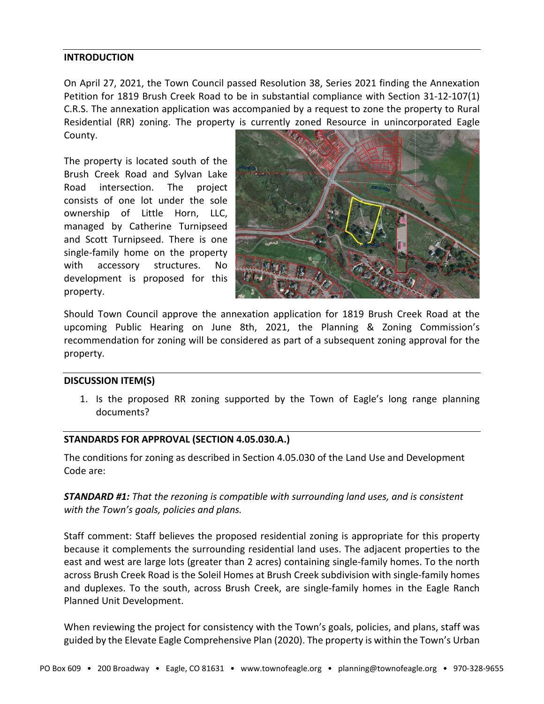#### **INTRODUCTION**

On April 27, 2021, the Town Council passed Resolution 38, Series 2021 finding the Annexation Petition for 1819 Brush Creek Road to be in substantial compliance with Section 31-12-107(1) C.R.S. The annexation application was accompanied by a request to zone the property to Rural Residential (RR) zoning. The property is currently zoned Resource in unincorporated Eagle County.

The property is located south of the Brush Creek Road and Sylvan Lake Road intersection. The project consists of one lot under the sole ownership of Little Horn, LLC, managed by Catherine Turnipseed and Scott Turnipseed. There is one single-family home on the property with accessory structures. No development is proposed for this property.



Should Town Council approve the annexation application for 1819 Brush Creek Road at the upcoming Public Hearing on June 8th, 2021, the Planning & Zoning Commission's recommendation for zoning will be considered as part of a subsequent zoning approval for the property.

#### **DISCUSSION ITEM(S)**

1. Is the proposed RR zoning supported by the Town of Eagle's long range planning documents?

#### **STANDARDS FOR APPROVAL (SECTION 4.05.030.A.)**

The conditions for zoning as described in Section 4.05.030 of the Land Use and Development Code are:

*STANDARD #1: That the rezoning is compatible with surrounding land uses, and is consistent with the Town's goals, policies and plans.*

Staff comment: Staff believes the proposed residential zoning is appropriate for this property because it complements the surrounding residential land uses. The adjacent properties to the east and west are large lots (greater than 2 acres) containing single-family homes. To the north across Brush Creek Road is the Soleil Homes at Brush Creek subdivision with single-family homes and duplexes. To the south, across Brush Creek, are single-family homes in the Eagle Ranch Planned Unit Development.

When reviewing the project for consistency with the Town's goals, policies, and plans, staff was guided by the Elevate Eagle Comprehensive Plan (2020). The property is within the Town's Urban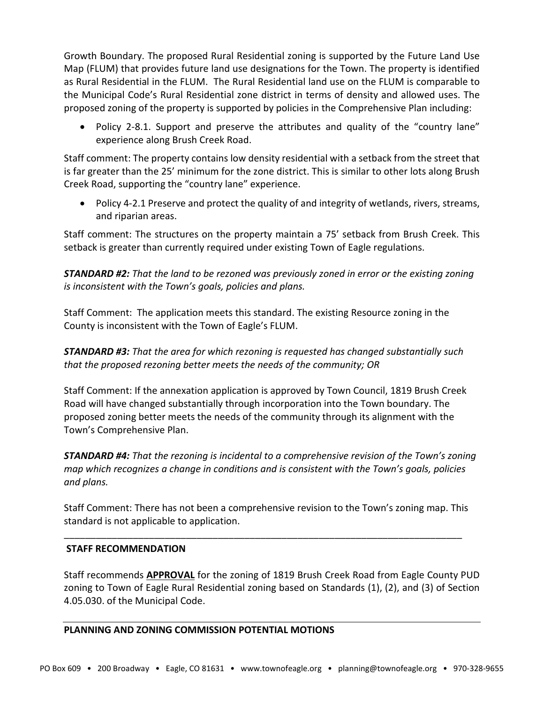Growth Boundary. The proposed Rural Residential zoning is supported by the Future Land Use Map (FLUM) that provides future land use designations for the Town. The property is identified as Rural Residential in the FLUM. The Rural Residential land use on the FLUM is comparable to the Municipal Code's Rural Residential zone district in terms of density and allowed uses. The proposed zoning of the property is supported by policies in the Comprehensive Plan including:

• Policy 2-8.1. Support and preserve the attributes and quality of the "country lane" experience along Brush Creek Road.

Staff comment: The property contains low density residential with a setback from the street that is far greater than the 25' minimum for the zone district. This is similar to other lots along Brush Creek Road, supporting the "country lane" experience.

• Policy 4-2.1 Preserve and protect the quality of and integrity of wetlands, rivers, streams, and riparian areas.

Staff comment: The structures on the property maintain a 75' setback from Brush Creek. This setback is greater than currently required under existing Town of Eagle regulations.

*STANDARD #2: That the land to be rezoned was previously zoned in error or the existing zoning is inconsistent with the Town's goals, policies and plans.*

Staff Comment: The application meets this standard. The existing Resource zoning in the County is inconsistent with the Town of Eagle's FLUM.

*STANDARD #3: That the area for which rezoning is requested has changed substantially such that the proposed rezoning better meets the needs of the community; OR*

Staff Comment: If the annexation application is approved by Town Council, 1819 Brush Creek Road will have changed substantially through incorporation into the Town boundary. The proposed zoning better meets the needs of the community through its alignment with the Town's Comprehensive Plan.

*STANDARD #4: That the rezoning is incidental to a comprehensive revision of the Town's zoning map which recognizes a change in conditions and is consistent with the Town's goals, policies and plans.*

Staff Comment: There has not been a comprehensive revision to the Town's zoning map. This standard is not applicable to application.

\_\_\_\_\_\_\_\_\_\_\_\_\_\_\_\_\_\_\_\_\_\_\_\_\_\_\_\_\_\_\_\_\_\_\_\_\_\_\_\_\_\_\_\_\_\_\_\_\_\_\_\_\_\_\_\_\_\_\_\_\_\_\_\_\_\_\_\_\_\_\_\_\_\_\_

# **STAFF RECOMMENDATION**

Staff recommends **APPROVAL** for the zoning of 1819 Brush Creek Road from Eagle County PUD zoning to Town of Eagle Rural Residential zoning based on Standards (1), (2), and (3) of Section 4.05.030. of the Municipal Code.

# **PLANNING AND ZONING COMMISSION POTENTIAL MOTIONS**